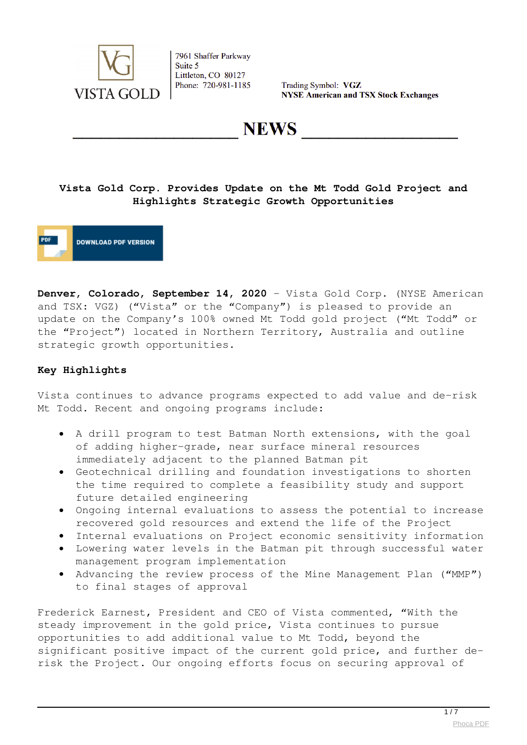

Trading Symbol: VGZ **NYSE American and TSX Stock Exchanges** 

**NEWS** 

## **Vista Gold Corp. Provides Update on the Mt Todd Gold Project and Highlights Strategic Growth Opportunities**

**DOWNLOAD PDF VERSION** 

**Denver, Colorado, September 14, 2020** – Vista Gold Corp. (NYSE American and TSX: VGZ) ("Vista" or the "Company") is pleased to provide an update on the Company's 100% owned Mt Todd gold project ("Mt Todd" or the "Project") located in Northern Territory, Australia and outline strategic growth opportunities.

## **Key Highlights**

Vista continues to advance programs expected to add value and de-risk Mt Todd. Recent and ongoing programs include:

- A drill program to test Batman North extensions, with the goal of adding higher-grade, near surface mineral resources immediately adjacent to the planned Batman pit
- Geotechnical drilling and foundation investigations to shorten the time required to complete a feasibility study and support future detailed engineering
- Ongoing internal evaluations to assess the potential to increase recovered gold resources and extend the life of the Project
- Internal evaluations on Project economic sensitivity information
- Lowering water levels in the Batman pit through successful water management program implementation
- Advancing the review process of the Mine Management Plan ("MMP") to final stages of approval

Frederick Earnest, President and CEO of Vista commented, "With the steady improvement in the gold price, Vista continues to pursue opportunities to add additional value to Mt Todd, beyond the significant positive impact of the current gold price, and further derisk the Project. Our ongoing efforts focus on securing approval of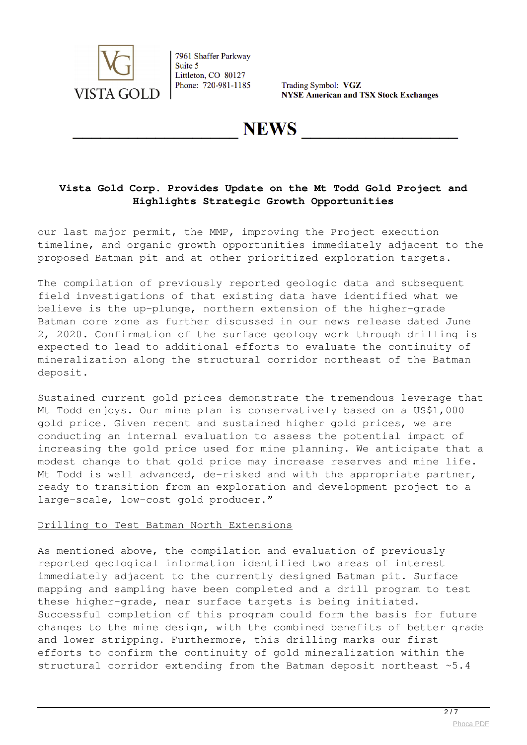

Trading Symbol: VGZ **NYSE American and TSX Stock Exchanges** 

**NEWS** 

## **Vista Gold Corp. Provides Update on the Mt Todd Gold Project and Highlights Strategic Growth Opportunities**

our last major permit, the MMP, improving the Project execution timeline, and organic growth opportunities immediately adjacent to the proposed Batman pit and at other prioritized exploration targets.

The compilation of previously reported geologic data and subsequent field investigations of that existing data have identified what we believe is the up-plunge, northern extension of the higher-grade Batman core zone as further discussed in our news release dated June 2, 2020. Confirmation of the surface geology work through drilling is expected to lead to additional efforts to evaluate the continuity of mineralization along the structural corridor northeast of the Batman deposit.

Sustained current gold prices demonstrate the tremendous leverage that Mt Todd enjoys. Our mine plan is conservatively based on a US\$1,000 gold price. Given recent and sustained higher gold prices, we are conducting an internal evaluation to assess the potential impact of increasing the gold price used for mine planning. We anticipate that a modest change to that gold price may increase reserves and mine life. Mt Todd is well advanced, de-risked and with the appropriate partner, ready to transition from an exploration and development project to a large-scale, low-cost gold producer."

#### Drilling to Test Batman North Extensions

As mentioned above, the compilation and evaluation of previously reported geological information identified two areas of interest immediately adjacent to the currently designed Batman pit. Surface mapping and sampling have been completed and a drill program to test these higher-grade, near surface targets is being initiated. Successful completion of this program could form the basis for future changes to the mine design, with the combined benefits of better grade and lower stripping. Furthermore, this drilling marks our first efforts to confirm the continuity of gold mineralization within the structural corridor extending from the Batman deposit northeast ~5.4

 $\frac{2}{7}$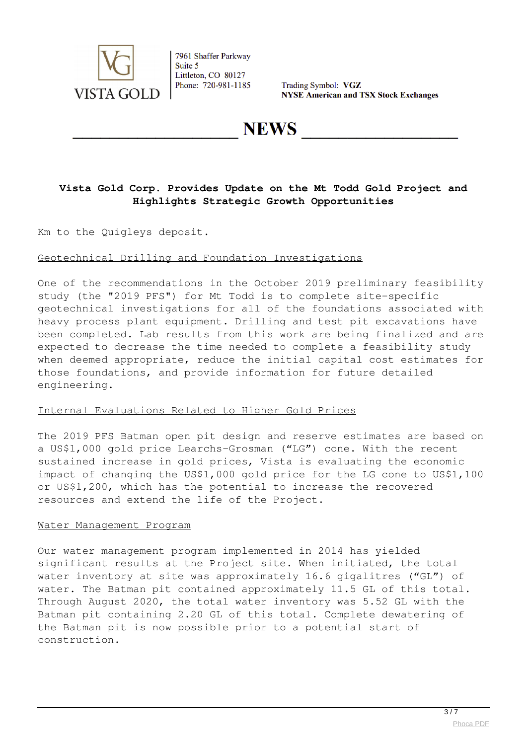

Trading Symbol: VGZ **NYSE American and TSX Stock Exchanges** 

**NEWS** 

## **Vista Gold Corp. Provides Update on the Mt Todd Gold Project and Highlights Strategic Growth Opportunities**

Km to the Quigleys deposit.

#### Geotechnical Drilling and Foundation Investigations

One of the recommendations in the October 2019 preliminary feasibility study (the "2019 PFS") for Mt Todd is to complete site-specific geotechnical investigations for all of the foundations associated with heavy process plant equipment. Drilling and test pit excavations have been completed. Lab results from this work are being finalized and are expected to decrease the time needed to complete a feasibility study when deemed appropriate, reduce the initial capital cost estimates for those foundations, and provide information for future detailed engineering.

#### Internal Evaluations Related to Higher Gold Prices

The 2019 PFS Batman open pit design and reserve estimates are based on a US\$1,000 gold price Learchs-Grosman ("LG") cone. With the recent sustained increase in gold prices, Vista is evaluating the economic impact of changing the US\$1,000 gold price for the LG cone to US\$1,100 or US\$1,200, which has the potential to increase the recovered resources and extend the life of the Project.

#### Water Management Program

Our water management program implemented in 2014 has yielded significant results at the Project site. When initiated, the total water inventory at site was approximately 16.6 gigalitres ("GL") of water. The Batman pit contained approximately 11.5 GL of this total. Through August 2020, the total water inventory was 5.52 GL with the Batman pit containing 2.20 GL of this total. Complete dewatering of the Batman pit is now possible prior to a potential start of construction.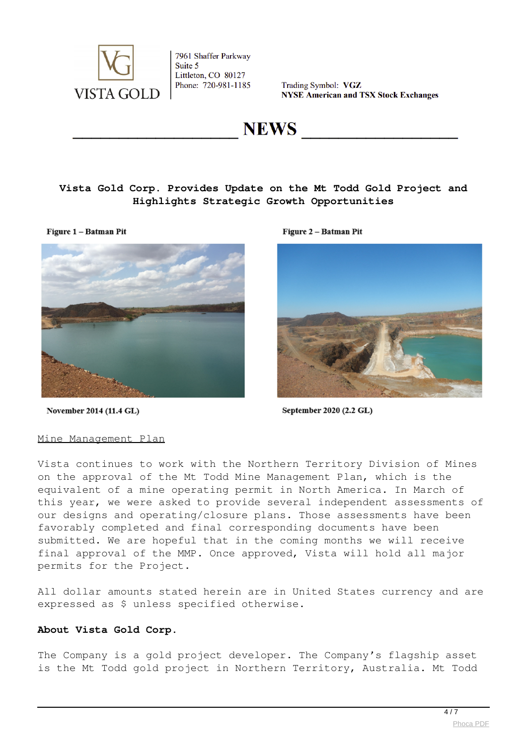

Trading Symbol: VGZ **NYSE American and TSX Stock Exchanges** 

**NEWS** 

## **Vista Gold Corp. Provides Update on the Mt Todd Gold Project and Highlights Strategic Growth Opportunities**

Figure 1 - Batman Pit



Figure 2 - Batman Pit



November 2014 (11.4 GL)

September 2020 (2.2 GL)

#### Mine Management Plan

Vista continues to work with the Northern Territory Division of Mines on the approval of the Mt Todd Mine Management Plan, which is the equivalent of a mine operating permit in North America. In March of this year, we were asked to provide several independent assessments of our designs and operating/closure plans. Those assessments have been favorably completed and final corresponding documents have been submitted. We are hopeful that in the coming months we will receive final approval of the MMP. Once approved, Vista will hold all major permits for the Project.

All dollar amounts stated herein are in United States currency and are expressed as \$ unless specified otherwise.

#### **About Vista Gold Corp.**

The Company is a gold project developer. The Company's flagship asset is the Mt Todd gold project in Northern Territory, Australia. Mt Todd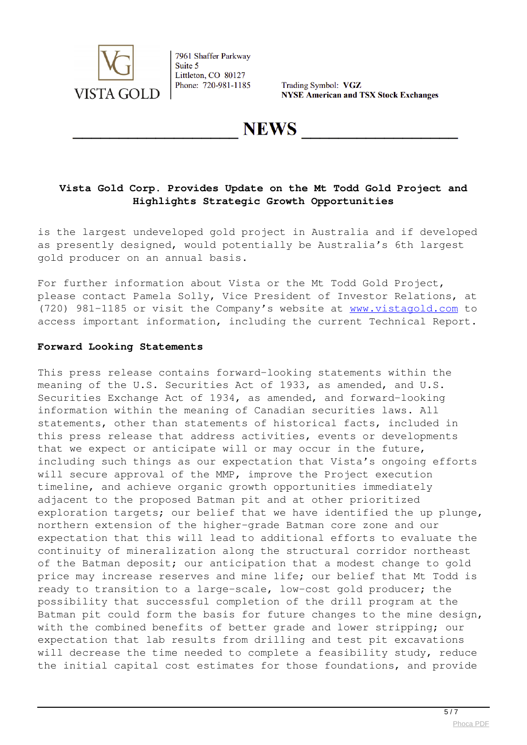

Trading Symbol: VGZ **NYSE American and TSX Stock Exchanges** 

**NEWS** 

## **Vista Gold Corp. Provides Update on the Mt Todd Gold Project and Highlights Strategic Growth Opportunities**

is the largest undeveloped gold project in Australia and if developed as presently designed, would potentially be Australia's 6th largest gold producer on an annual basis.

For further information about Vista or the Mt Todd Gold Project, please contact Pamela Solly, Vice President of Investor Relations, at (720) 981-1185 or visit the Company's website at [www.vistagold.com](https://www.globenewswire.com/Tracker?data=qQZgxVy311_D_xUYDKEIMe0kNFJne4SXllFPWhdJH647D8OVYhc1bMhec4DB260ENrE_RaMNTUMCRcQXf9DUlw==) to access important information, including the current Technical Report.

#### **Forward Looking Statements**

This press release contains forward-looking statements within the meaning of the U.S. Securities Act of 1933, as amended, and U.S. Securities Exchange Act of 1934, as amended, and forward-looking information within the meaning of Canadian securities laws. All statements, other than statements of historical facts, included in this press release that address activities, events or developments that we expect or anticipate will or may occur in the future, including such things as our expectation that Vista's ongoing efforts will secure approval of the MMP, improve the Project execution timeline, and achieve organic growth opportunities immediately adjacent to the proposed Batman pit and at other prioritized exploration targets; our belief that we have identified the up plunge, northern extension of the higher-grade Batman core zone and our expectation that this will lead to additional efforts to evaluate the continuity of mineralization along the structural corridor northeast of the Batman deposit; our anticipation that a modest change to gold price may increase reserves and mine life; our belief that Mt Todd is ready to transition to a large-scale, low-cost gold producer; the possibility that successful completion of the drill program at the Batman pit could form the basis for future changes to the mine design, with the combined benefits of better grade and lower stripping; our expectation that lab results from drilling and test pit excavations will decrease the time needed to complete a feasibility study, reduce the initial capital cost estimates for those foundations, and provide

 $\frac{1}{5/7}$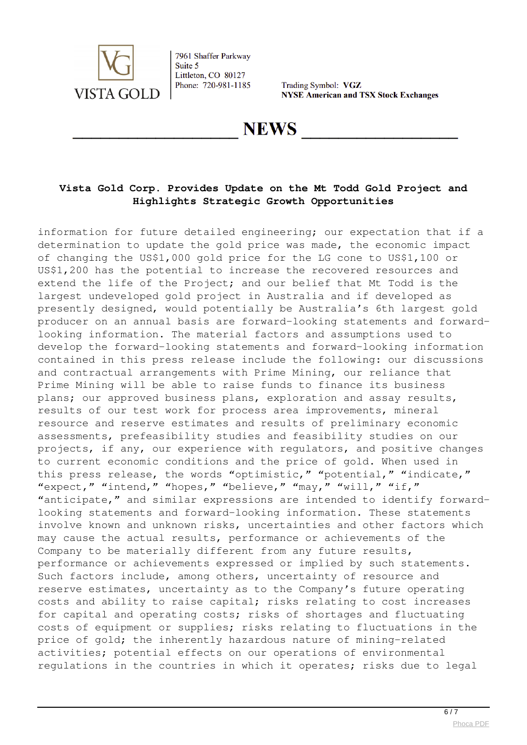

Trading Symbol: VGZ **NYSE American and TSX Stock Exchanges** 

**NEWS** 

## **Vista Gold Corp. Provides Update on the Mt Todd Gold Project and Highlights Strategic Growth Opportunities**

information for future detailed engineering; our expectation that if a determination to update the gold price was made, the economic impact of changing the US\$1,000 gold price for the LG cone to US\$1,100 or US\$1,200 has the potential to increase the recovered resources and extend the life of the Project; and our belief that Mt Todd is the largest undeveloped gold project in Australia and if developed as presently designed, would potentially be Australia's 6th largest gold producer on an annual basis are forward-looking statements and forwardlooking information. The material factors and assumptions used to develop the forward-looking statements and forward-looking information contained in this press release include the following: our discussions and contractual arrangements with Prime Mining, our reliance that Prime Mining will be able to raise funds to finance its business plans; our approved business plans, exploration and assay results, results of our test work for process area improvements, mineral resource and reserve estimates and results of preliminary economic assessments, prefeasibility studies and feasibility studies on our projects, if any, our experience with regulators, and positive changes to current economic conditions and the price of gold. When used in this press release, the words "optimistic," "potential," "indicate," "expect," "intend," "hopes," "believe," "may," "will," "if," "anticipate," and similar expressions are intended to identify forwardlooking statements and forward-looking information. These statements involve known and unknown risks, uncertainties and other factors which may cause the actual results, performance or achievements of the Company to be materially different from any future results, performance or achievements expressed or implied by such statements. Such factors include, among others, uncertainty of resource and reserve estimates, uncertainty as to the Company's future operating costs and ability to raise capital; risks relating to cost increases for capital and operating costs; risks of shortages and fluctuating costs of equipment or supplies; risks relating to fluctuations in the price of gold; the inherently hazardous nature of mining-related activities; potential effects on our operations of environmental regulations in the countries in which it operates; risks due to legal